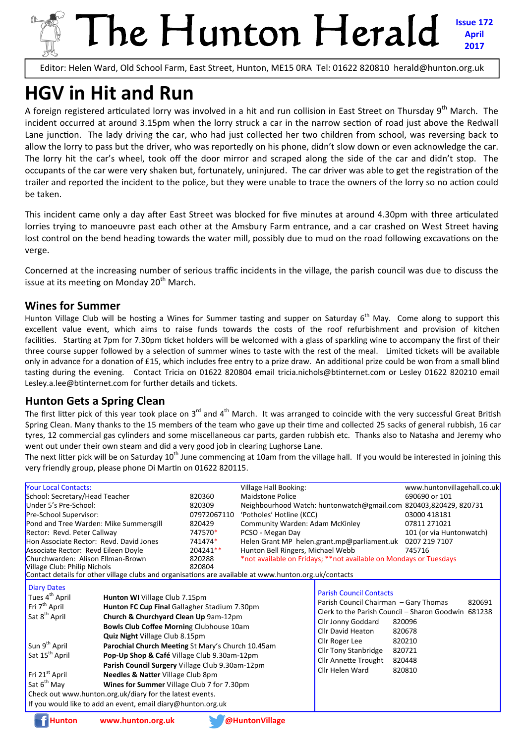# The Hunton Herald **Issue 172 April 2017**

Editor: Helen Ward, Old School Farm, East Street, Hunton, ME15 0RA Tel: 01622 820810 herald@hunton.org.uk

# **HGV in Hit and Run**

A foreign registered articulated lorry was involved in a hit and run collision in East Street on Thursday  $9<sup>th</sup>$  March. The incident occurred at around 3.15pm when the lorry struck a car in the narrow section of road just above the Redwall Lane junction. The lady driving the car, who had just collected her two children from school, was reversing back to allow the lorry to pass but the driver, who was reportedly on his phone, didn't slow down or even acknowledge the car. The lorry hit the car's wheel, took off the door mirror and scraped along the side of the car and didn't stop. The occupants of the car were very shaken but, fortunately, uninjured. The car driver was able to get the registration of the trailer and reported the incident to the police, but they were unable to trace the owners of the lorry so no action could be taken.

This incident came only a day after East Street was blocked for five minutes at around 4.30pm with three articulated lorries trying to manoeuvre past each other at the Amsbury Farm entrance, and a car crashed on West Street having lost control on the bend heading towards the water mill, possibly due to mud on the road following excavations on the verge.

Concerned at the increasing number of serious traffic incidents in the village, the parish council was due to discuss the issue at its meeting on Monday  $20<sup>th</sup>$  March.

#### **Wines for Summer**

Hunton Village Club will be hosting a Wines for Summer tasting and supper on Saturday 6<sup>th</sup> May. Come along to support this excellent value event, which aims to raise funds towards the costs of the roof refurbishment and provision of kitchen facilities. Starting at 7pm for 7.30pm ticket holders will be welcomed with a glass of sparkling wine to accompany the first of their three course supper followed by a selection of summer wines to taste with the rest of the meal. Limited tickets will be available only in advance for a donation of £15, which includes free entry to a prize draw. An additional prize could be won from a small blind tasting during the evening. Contact Tricia on 01622 820804 email tricia.nichols@btinternet.com or Lesley 01622 820210 email Lesley.a.lee@btinternet.com for further details and tickets.

#### **Hunton Gets a Spring Clean**

The first litter pick of this year took place on  $3^{rd}$  and  $4^{th}$  March. It was arranged to coincide with the very successful Great British Spring Clean. Many thanks to the 15 members of the team who gave up their time and collected 25 sacks of general rubbish, 16 car tyres, 12 commercial gas cylinders and some miscellaneous car parts, garden rubbish etc. Thanks also to Natasha and Jeremy who went out under their own steam and did a very good job in clearing Lughorse Lane.

The next litter pick will be on Saturday 10<sup>th</sup> June commencing at 10am from the village hall. If you would be interested in joining this very friendly group, please phone Di Martin on 01622 820115.

| <b>Your Local Contacts:</b>                                                                                                                                                                                                                                                                                                                                                                                                                                               |                                                                                                                                                                                                                                                                                                                                               | Village Hall Booking:                                                                                                                                                        | www.huntonvillagehall.co.uk                                                                                                                                        |
|---------------------------------------------------------------------------------------------------------------------------------------------------------------------------------------------------------------------------------------------------------------------------------------------------------------------------------------------------------------------------------------------------------------------------------------------------------------------------|-----------------------------------------------------------------------------------------------------------------------------------------------------------------------------------------------------------------------------------------------------------------------------------------------------------------------------------------------|------------------------------------------------------------------------------------------------------------------------------------------------------------------------------|--------------------------------------------------------------------------------------------------------------------------------------------------------------------|
| School: Secretary/Head Teacher                                                                                                                                                                                                                                                                                                                                                                                                                                            | 820360                                                                                                                                                                                                                                                                                                                                        | Maidstone Police                                                                                                                                                             | 690690 or 101                                                                                                                                                      |
| Under 5's Pre-School:                                                                                                                                                                                                                                                                                                                                                                                                                                                     | 820309                                                                                                                                                                                                                                                                                                                                        | Neighbourhood Watch: huntonwatch@gmail.com 820403,820429, 820731                                                                                                             |                                                                                                                                                                    |
| Pre-School Supervisor:                                                                                                                                                                                                                                                                                                                                                                                                                                                    | 07972067110                                                                                                                                                                                                                                                                                                                                   | 'Potholes' Hotline (KCC)                                                                                                                                                     | 03000 418181                                                                                                                                                       |
| Pond and Tree Warden: Mike Summersgill                                                                                                                                                                                                                                                                                                                                                                                                                                    | 820429                                                                                                                                                                                                                                                                                                                                        | Community Warden: Adam McKinley                                                                                                                                              | 07811 271021                                                                                                                                                       |
| Rector: Revd. Peter Callway                                                                                                                                                                                                                                                                                                                                                                                                                                               | 747570*                                                                                                                                                                                                                                                                                                                                       | PCSO - Megan Day                                                                                                                                                             | 101 (or via Huntonwatch)                                                                                                                                           |
| Hon Associate Rector: Revd. David Jones                                                                                                                                                                                                                                                                                                                                                                                                                                   | 741474*                                                                                                                                                                                                                                                                                                                                       | Helen Grant MP helen.grant.mp@parliament.uk                                                                                                                                  | 0207 219 7107                                                                                                                                                      |
| Associate Rector: Revd Eileen Doyle                                                                                                                                                                                                                                                                                                                                                                                                                                       | 204241**                                                                                                                                                                                                                                                                                                                                      | Hunton Bell Ringers, Michael Webb                                                                                                                                            | 745716                                                                                                                                                             |
| Churchwarden: Alison Ellman-Brown                                                                                                                                                                                                                                                                                                                                                                                                                                         | 820288                                                                                                                                                                                                                                                                                                                                        | *not available on Fridays; **not available on Mondays or Tuesdays                                                                                                            |                                                                                                                                                                    |
| Village Club: Philip Nichols                                                                                                                                                                                                                                                                                                                                                                                                                                              | 820804                                                                                                                                                                                                                                                                                                                                        |                                                                                                                                                                              |                                                                                                                                                                    |
| Contact details for other village clubs and organisations are available at www.hunton.org.uk/contacts                                                                                                                                                                                                                                                                                                                                                                     |                                                                                                                                                                                                                                                                                                                                               |                                                                                                                                                                              |                                                                                                                                                                    |
| <b>Diary Dates</b><br>Tues 4 <sup>th</sup> April<br>Hunton WI Village Club 7.15pm<br>Fri 7 <sup>th</sup> April<br>Sat 8 <sup>th</sup> April<br><b>Quiz Night Village Club 8.15pm</b><br>Sun 9 <sup>th</sup> April<br>Sat 15 <sup>th</sup> April<br>Fri 21 <sup>st</sup> April<br>Needles & Natter Village Club 8pm<br>Sat 6 <sup>th</sup> May<br>Check out www.hunton.org.uk/diary for the latest events.<br>If you would like to add an event, email diary@hunton.org.uk | Hunton FC Cup Final Gallagher Stadium 7.30pm<br>Church & Churchyard Clean Up 9am-12pm<br><b>Bowls Club Coffee Morning Clubhouse 10am</b><br>Parochial Church Meeting St Mary's Church 10.45am<br>Pop-Up Shop & Café Village Club 9.30am-12pm<br>Parish Council Surgery Village Club 9.30am-12pm<br>Wines for Summer Village Club 7 for 7.30pm | <b>Parish Council Contacts</b><br>Cllr Jonny Goddard<br>Cllr David Heaton<br>Cllr Roger Lee<br><b>Cllr Tony Stanbridge</b><br><b>Cllr Annette Trought</b><br>Cllr Helen Ward | Parish Council Chairman - Gary Thomas<br>820691<br>Clerk to the Parish Council - Sharon Goodwin 681238<br>820096<br>820678<br>820210<br>820721<br>820448<br>820810 |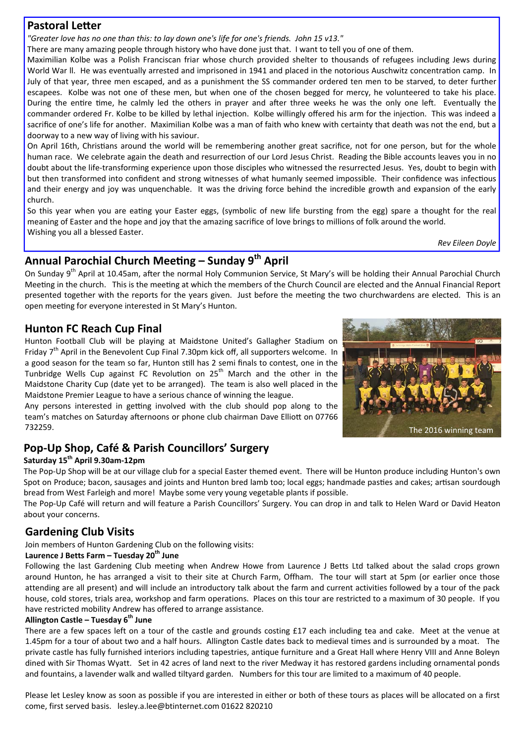#### **Pastoral Letter**

*"Greater love has no one than this: to lay down one's life for one's friends. John 15 v13."* 

There are many amazing people through history who have done just that. I want to tell you of one of them.

Maximilian Kolbe was a Polish Franciscan friar whose church provided shelter to thousands of refugees including Jews during World War II. He was eventually arrested and imprisoned in 1941 and placed in the notorious Auschwitz concentration camp. In July of that year, three men escaped, and as a punishment the SS commander ordered ten men to be starved, to deter further escapees. Kolbe was not one of these men, but when one of the chosen begged for mercy, he volunteered to take his place. During the entire time, he calmly led the others in prayer and after three weeks he was the only one left. Eventually the commander ordered Fr. Kolbe to be killed by lethal injection. Kolbe willingly offered his arm for the injection. This was indeed a sacrifice of one's life for another. Maximilian Kolbe was a man of faith who knew with certainty that death was not the end, but a doorway to a new way of living with his saviour.

On April 16th, Christians around the world will be remembering another great sacrifice, not for one person, but for the whole human race. We celebrate again the death and resurrection of our Lord Jesus Christ. Reading the Bible accounts leaves you in no doubt about the life-transforming experience upon those disciples who witnessed the resurrected Jesus. Yes, doubt to begin with but then transformed into confident and strong witnesses of what humanly seemed impossible. Their confidence was infectious and their energy and joy was unquenchable. It was the driving force behind the incredible growth and expansion of the early church.

So this year when you are eating your Easter eggs, (symbolic of new life bursting from the egg) spare a thought for the real meaning of Easter and the hope and joy that the amazing sacrifice of love brings to millions of folk around the world. Wishing you all a blessed Easter.

*Rev Eileen Doyle*

# Annual Parochial Church Meeting – Sunday 9<sup>th</sup> April

On Sunday 9<sup>th</sup> April at 10.45am, after the normal Holy Communion Service, St Mary's will be holding their Annual Parochial Church Meeting in the church. This is the meeting at which the members of the Church Council are elected and the Annual Financial Report presented together with the reports for the years given. Just before the meeting the two churchwardens are elected. This is an open meeting for everyone interested in St Mary's Hunton.

#### **Hunton FC Reach Cup Final**

Hunton Football Club will be playing at Maidstone United's Gallagher Stadium on Friday  $7<sup>th</sup>$  April in the Benevolent Cup Final 7.30pm kick off, all supporters welcome. In a good season for the team so far, Hunton still has 2 semi finals to contest, one in the Tunbridge Wells Cup against FC Revolution on  $25<sup>th</sup>$  March and the other in the Maidstone Charity Cup (date yet to be arranged). The team is also well placed in the Maidstone Premier League to have a serious chance of winning the league.

Any persons interested in getting involved with the club should pop along to the team's matches on Saturday afternoons or phone club chairman Dave Elliott on 07766 732259.

## **Pop-Up Shop, Café & Parish Councillors' Surgery**

#### **Saturday 15th April 9.30am-12pm**

The Pop-Up Shop will be at our village club for a special Easter themed event. There will be Hunton produce including Hunton's own Spot on Produce; bacon, sausages and joints and Hunton bred lamb too; local eggs; handmade pasties and cakes; artisan sourdough bread from West Farleigh and more! Maybe some very young vegetable plants if possible.

The Pop-Up Café will return and will feature a Parish Councillors' Surgery. You can drop in and talk to Helen Ward or David Heaton about your concerns.

#### **Gardening Club Visits**

Join members of Hunton Gardening Club on the following visits:

#### **Laurence J Betts Farm – Tuesday 20th June**

Following the last Gardening Club meeting when Andrew Howe from Laurence J Betts Ltd talked about the salad crops grown around Hunton, he has arranged a visit to their site at Church Farm, Offham. The tour will start at 5pm (or earlier once those attending are all present) and will include an introductory talk about the farm and current activities followed by a tour of the pack house, cold stores, trials area, workshop and farm operations. Places on this tour are restricted to a maximum of 30 people. If you have restricted mobility Andrew has offered to arrange assistance.

#### Allington Castle – Tuesday 6<sup>th</sup> June

There are a few spaces left on a tour of the castle and grounds costing £17 each including tea and cake. Meet at the venue at 1.45pm for a tour of about two and a half hours. Allington Castle dates back to medieval times and is surrounded by a moat. The private castle has fully furnished interiors including tapestries, antique furniture and a Great Hall where Henry VIII and Anne Boleyn dined with Sir Thomas Wyatt. Set in 42 acres of land next to the river Medway it has restored gardens including ornamental ponds and fountains, a lavender walk and walled tiltyard garden. Numbers for this tour are limited to a maximum of 40 people.

Please let Lesley know as soon as possible if you are interested in either or both of these tours as places will be allocated on a first come, first served basis. lesley.a.lee@btinternet.com 01622 820210

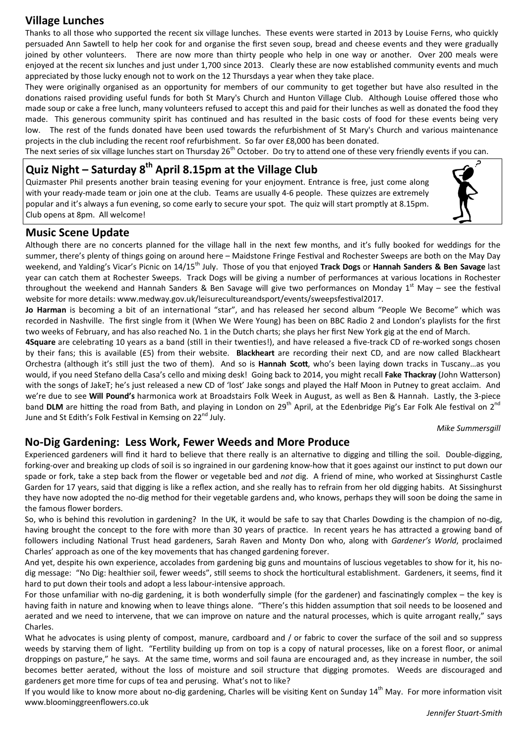#### **Village Lunches**

Thanks to all those who supported the recent six village lunches. These events were started in 2013 by Louise Ferns, who quickly persuaded Ann Sawtell to help her cook for and organise the first seven soup, bread and cheese events and they were gradually joined by other volunteers. There are now more than thirty people who help in one way or another. Over 200 meals were enjoyed at the recent six lunches and just under 1,700 since 2013. Clearly these are now established community events and much appreciated by those lucky enough not to work on the 12 Thursdays a year when they take place.

They were originally organised as an opportunity for members of our community to get together but have also resulted in the donations raised providing useful funds for both St Mary's Church and Hunton Village Club. Although Louise offered those who made soup or cake a free lunch, many volunteers refused to accept this and paid for their lunches as well as donated the food they made. This generous community spirit has continued and has resulted in the basic costs of food for these events being very low. The rest of the funds donated have been used towards the refurbishment of St Mary's Church and various maintenance projects in the club including the recent roof refurbishment. So far over £8,000 has been donated.

The next series of six village lunches start on Thursday  $26<sup>th</sup>$  October. Do try to attend one of these very friendly events if you can.

## **Quiz Night – Saturday 8th April 8.15pm at the Village Club**

Quizmaster Phil presents another brain teasing evening for your enjoyment. Entrance is free, just come along with your ready-made team or join one at the club. Teams are usually 4-6 people. These quizzes are extremely popular and it's always a fun evening, so come early to secure your spot. The quiz will start promptly at 8.15pm. Club opens at 8pm. All welcome!



#### **Music Scene Update**

Although there are no concerts planned for the village hall in the next few months, and it's fully booked for weddings for the summer, there's plenty of things going on around here – Maidstone Fringe Festival and Rochester Sweeps are both on the May Day weekend, and Yalding's Vicar's Picnic on 14/15th July. Those of you that enjoyed **Track Dogs** or **Hannah Sanders & Ben Savage** last year can catch them at Rochester Sweeps. Track Dogs will be giving a number of performances at various locations in Rochester throughout the weekend and Hannah Sanders & Ben Savage will give two performances on Monday  $1^{st}$  May – see the festival website for more details: www.medway.gov.uk/leisurecultureandsport/events/sweepsfestival2017.

Jo Harman is becoming a bit of an international "star", and has released her second album "People We Become" which was recorded in Nashville. The first single from it (When We Were Young) has been on BBC Radio 2 and London's playlists for the first two weeks of February, and has also reached No. 1 in the Dutch charts; she plays her first New York gig at the end of March.

4Square are celebrating 10 years as a band (still in their twenties!), and have released a five-track CD of re-worked songs chosen by their fans; this is available (£5) from their website. **Blackheart** are recording their next CD, and are now called Blackheart Orchestra (although it's sƟll just the two of them). And so is **Hannah ScoƩ**, who's been laying down tracks in Tuscany…as you would, if you need Stefano della Casa's cello and mixing desk! Going back to 2014, you might recall Fake Thackray (John Watterson) with the songs of JakeT; he's just released a new CD of 'lost' Jake songs and played the Half Moon in Putney to great acclaim. And we're due to see **Will Pound's** harmonica work at Broadstairs Folk Week in August, as well as Ben & Hannah. Lastly, the 3-piece band DLM are hitting the road from Bath, and playing in London on 29<sup>th</sup> April, at the Edenbridge Pig's Ear Folk Ale festival on 2<sup>nd</sup> June and St Edith's Folk Festival in Kemsing on 22<sup>nd</sup> July.

#### *Mike Summersgill*

#### **No-Dig Gardening: Less Work, Fewer Weeds and More Produce**

Experienced gardeners will find it hard to believe that there really is an alternative to digging and tilling the soil. Double-digging, forking-over and breaking up clods of soil is so ingrained in our gardening know-how that it goes against our instinct to put down our spade or fork, take a step back from the flower or vegetable bed and *not* dig. A friend of mine, who worked at Sissinghurst Castle Garden for 17 years, said that digging is like a reflex action, and she really has to refrain from her old digging habits. At Sissinghurst they have now adopted the no-dig method for their vegetable gardens and, who knows, perhaps they will soon be doing the same in the famous flower borders.

So, who is behind this revolution in gardening? In the UK, it would be safe to say that Charles Dowding is the champion of no-dig, having brought the concept to the fore with more than 30 years of practice. In recent years he has attracted a growing band of followers including National Trust head gardeners, Sarah Raven and Monty Don who, along with *Gardener's World*, proclaimed Charles' approach as one of the key movements that has changed gardening forever.

And yet, despite his own experience, accolades from gardening big guns and mountains of luscious vegetables to show for it, his nodig message: "No Dig: healthier soil, fewer weeds", still seems to shock the horticultural establishment. Gardeners, it seems, find it hard to put down their tools and adopt a less labour-intensive approach.

For those unfamiliar with no-dig gardening, it is both wonderfully simple (for the gardener) and fascinatingly complex - the key is having faith in nature and knowing when to leave things alone. "There's this hidden assumption that soil needs to be loosened and aerated and we need to intervene, that we can improve on nature and the natural processes, which is quite arrogant really," says Charles.

What he advocates is using plenty of compost, manure, cardboard and / or fabric to cover the surface of the soil and so suppress weeds by starving them of light. "Fertility building up from on top is a copy of natural processes, like on a forest floor, or animal droppings on pasture," he says. At the same time, worms and soil fauna are encouraged and, as they increase in number, the soil becomes better aerated, without the loss of moisture and soil structure that digging promotes. Weeds are discouraged and gardeners get more time for cups of tea and perusing. What's not to like?

If you would like to know more about no-dig gardening, Charles will be visiting Kent on Sunday 14<sup>th</sup> May. For more information visit www.bloominggreenflowers.co.uk